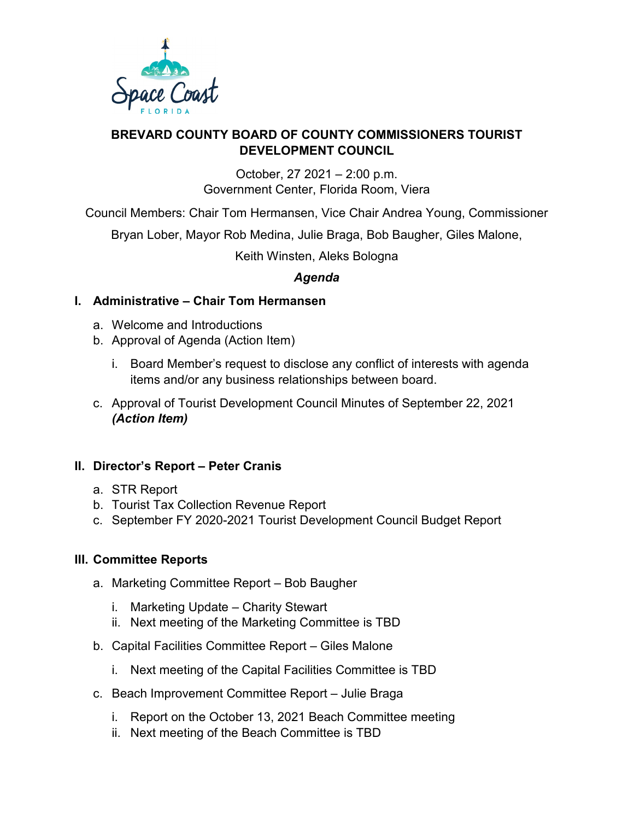

#### **BREVARD COUNTY BOARD OF COUNTY COMMISSIONERS TOURIST DEVELOPMENT COUNCIL**

October, 27 2021 – 2:00 p.m. Government Center, Florida Room, Viera

Council Members: Chair Tom Hermansen, Vice Chair Andrea Young, Commissioner

Bryan Lober, Mayor Rob Medina, Julie Braga, Bob Baugher, Giles Malone,

Keith Winsten, Aleks Bologna

# *Agenda*

# **I. Administrative – Chair Tom Hermansen**

- a. Welcome and Introductions
- b. Approval of Agenda (Action Item)
	- i. Board Member's request to disclose any conflict of interests with agenda items and/or any business relationships between board.
- c. Approval of Tourist Development Council Minutes of September 22, 2021 *(Action Item)*

# **II. Director's Report – Peter Cranis**

- a. STR Report
- b. Tourist Tax Collection Revenue Report
- c. September FY 2020-2021 Tourist Development Council Budget Report

# **III. Committee Reports**

- a. Marketing Committee Report Bob Baugher
	- i. Marketing Update Charity Stewart
	- ii. Next meeting of the Marketing Committee is TBD
- b. Capital Facilities Committee Report Giles Malone
	- i. Next meeting of the Capital Facilities Committee is TBD
- c. Beach Improvement Committee Report Julie Braga
	- i. Report on the October 13, 2021 Beach Committee meeting
	- ii. Next meeting of the Beach Committee is TBD